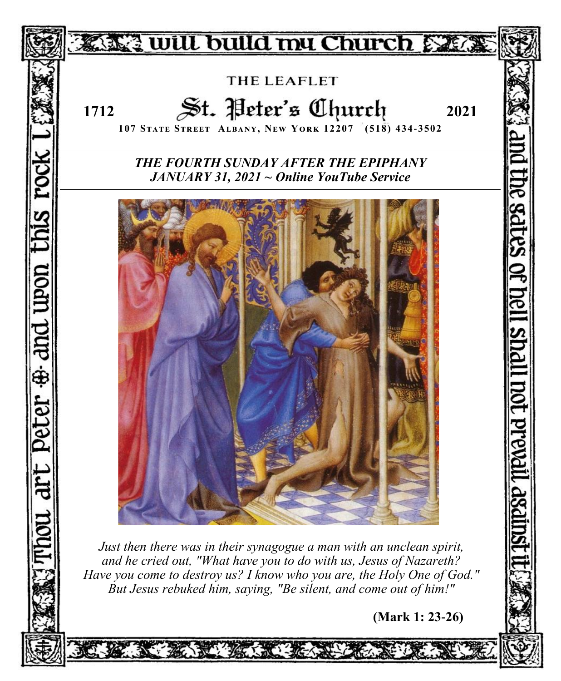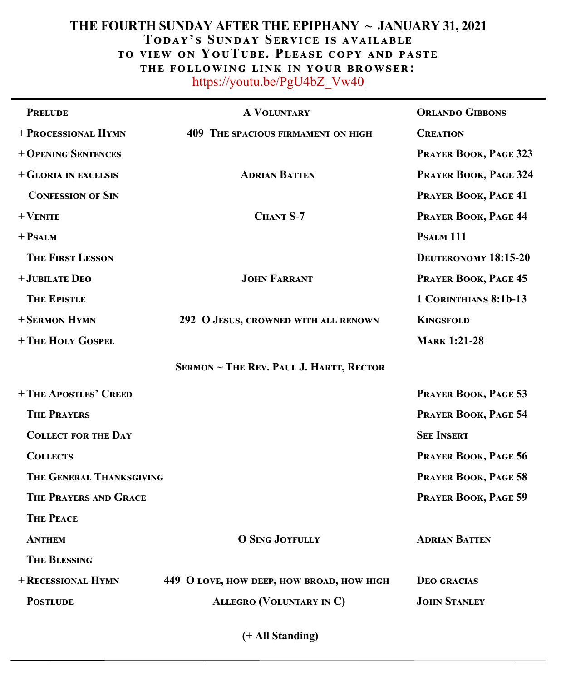# **THE FOURTH SUNDAY AFTER THE EPIPHANY ~ JANUARY 31, 2021 Today' s Sunday Service is available to view on YouTube. Please copy and paste the following link in your browser:** [https://youtu.be/PgU4bZ\\_Vw40](https://youtu.be/PgU4bZ_Vw40)

| <b>PRELUDE</b>             | <b>A VOLUNTARY</b>                        | <b>ORLANDO GIBBONS</b>      |
|----------------------------|-------------------------------------------|-----------------------------|
| + PROCESSIONAL HYMN        | <b>409 THE SPACIOUS FIRMAMENT ON HIGH</b> | <b>CREATION</b>             |
| + OPENING SENTENCES        |                                           | PRAYER BOOK, PAGE 323       |
| + GLORIA IN EXCELSIS       | <b>ADRIAN BATTEN</b>                      | PRAYER BOOK, PAGE 324       |
| <b>CONFESSION OF SIN</b>   |                                           | PRAYER BOOK, PAGE 41        |
| $+$ VENITE                 | CHANT S-7                                 | PRAYER BOOK, PAGE 44        |
| + Psalm                    |                                           | PSALM <sub>111</sub>        |
| <b>THE FIRST LESSON</b>    |                                           | <b>DEUTERONOMY 18:15-20</b> |
| + JUBILATE DEO             | <b>JOHN FARRANT</b>                       | PRAYER BOOK, PAGE 45        |
| <b>THE EPISTLE</b>         |                                           | 1 CORINTHIANS 8:1b-13       |
| + SERMON HYMN              | 292 O JESUS, CROWNED WITH ALL RENOWN      | <b>KINGSFOLD</b>            |
| + THE HOLY GOSPEL          |                                           | <b>MARK 1:21-28</b>         |
|                            | SERMON ~ THE REV. PAUL J. HARTT, RECTOR   |                             |
| +THE APOSTLES' CREED       |                                           | PRAYER BOOK, PAGE 53        |
| <b>THE PRAYERS</b>         |                                           | PRAYER BOOK, PAGE 54        |
| <b>COLLECT FOR THE DAY</b> |                                           | <b>SEE INSERT</b>           |
| <b>COLLECTS</b>            |                                           | PRAYER BOOK, PAGE 56        |
| THE GENERAL THANKSGIVING   |                                           | PRAYER BOOK, PAGE 58        |
| THE PRAYERS AND GRACE      |                                           | PRAYER BOOK, PAGE 59        |
| <b>THE PEACE</b>           |                                           |                             |
| <b>ANTHEM</b>              | <b>O SING JOYFULLY</b>                    | <b>ADRIAN BATTEN</b>        |
| <b>THE BLESSING</b>        |                                           |                             |
| + RECESSIONAL HYMN         | 449 O LOVE, HOW DEEP, HOW BROAD, HOW HIGH | <b>DEO GRACIAS</b>          |
| <b>POSTLUDE</b>            | <b>ALLEGRO (VOLUNTARY IN C)</b>           | <b>JOHN STANLEY</b>         |
|                            |                                           |                             |

**(+ All Standing)**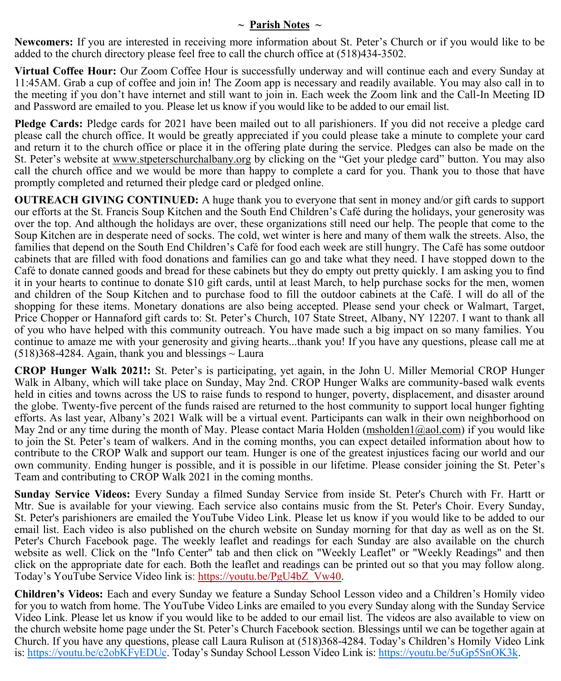# **~ Parish Notes ~**

**Newcomers:** If you are interested in receiving more information about St. Peter's Church or if you would like to be added to the church directory please feel free to call the church office at (518)434-3502.

**Virtual Coffee Hour:** Our Zoom Coffee Hour is successfully underway and will continue each and every Sunday at 11:45AM. Grab a cup of coffee and join in! The Zoom app is necessary and readily available. You may also call in to the meeting if you don't have internet and still want to join in. Each week the Zoom link and the Call-In Meeting ID and Password are emailed to you. Please let us know if you would like to be added to our email list.

**Pledge Cards:** Pledge cards for 2021 have been mailed out to all parishioners. If you did not receive a pledge card please call the church office. It would be greatly appreciated if you could please take a minute to complete your card and return it to the church office or place it in the offering plate during the service. Pledges can also be made on the St. Peter's website at [www.stpeterschurchalbany.org](http://www.stpeterschurchalbany.org) by clicking on the "Get your pledge card" button. You may also call the church office and we would be more than happy to complete a card for you. Thank you to those that have promptly completed and returned their pledge card or pledged online.

**OUTREACH GIVING CONTINUED:** A huge thank you to everyone that sent in money and/or gift cards to support our efforts at the St. Francis Soup Kitchen and the South End Children's Café during the holidays, your generosity was over the top. And although the holidays are over, these organizations still need our help. The people that come to the Soup Kitchen are in desperate need of socks. The cold, wet winter is here and many of them walk the streets. Also, the families that depend on the South End Children's Café for food each week are still hungry. The Café has some outdoor cabinets that are filled with food donations and families can go and take what they need. I have stopped down to the Café to donate canned goods and bread for these cabinets but they do empty out pretty quickly. I am asking you to find it in your hearts to continue to donate \$10 gift cards, until at least March, to help purchase socks for the men, women and children of the Soup Kitchen and to purchase food to fill the outdoor cabinets at the Café. I will do all of the shopping for these items. Monetary donations are also being accepted. Please send your check or Walmart, Target, Price Chopper or Hannaford gift cards to: St. Peter's Church, 107 State Street, Albany, NY 12207. I want to thank all of you who have helped with this community outreach. You have made such a big impact on so many families. You continue to amaze me with your generosity and giving hearts...thank you! If you have any questions, please call me at  $(518)368-4284$ . Again, thank you and blessings  $\sim$  Laura

**CROP Hunger Walk 2021!:** St. Peter's is participating, yet again, in the John U. Miller Memorial CROP Hunger Walk in Albany, which will take place on Sunday, May 2nd. CROP Hunger Walks are community-based walk events held in cities and towns across the US to raise funds to respond to hunger, poverty, displacement, and disaster around the globe. Twenty-five percent of the funds raised are returned to the host community to support local hunger fighting efforts. As last year, Albany's 2021 Walk will be a virtual event. Participants can walk in their own neighborhood on May 2nd or any time during the month of May. Please contact Maria Holden [\(msholden1@aol.com\)](mailto:msholden1@aol.com) if you would like to join the St. Peter's team of walkers. And in the coming months, you can expect detailed information about how to contribute to the CROP Walk and support our team. Hunger is one of the greatest injustices facing our world and our own community. Ending hunger is possible, and it is possible in our lifetime. Please consider joining the St. Peter's Team and contributing to CROP Walk 2021 in the coming months.

**Sunday Service Videos:** Every Sunday a filmed Sunday Service from inside St. Peter's Church with Fr. Hartt or Mtr. Sue is available for your viewing. Each service also contains music from the St. Peter's Choir. Every Sunday, St. Peter's parishioners are emailed the YouTube Video Link. Please let us know if you would like to be added to our email list. Each video is also published on the church website on Sunday morning for that day as well as on the St. Peter's Church Facebook page. The weekly leaflet and readings for each Sunday are also available on the church website as well. Click on the "Info Center" tab and then click on "Weekly Leaflet" or "Weekly Readings" and then click on the appropriate date for each. Both the leaflet and readings can be printed out so that you may follow along. Today's YouTube Service Video link is: [https://youtu.be/PgU4bZ\\_Vw40.](https://youtu.be/PgU4bZ_Vw40)

**Children's Videos:** Each and every Sunday we feature a Sunday School Lesson video and a Children's Homily video for you to watch from home. The YouTube Video Links are emailed to you every Sunday along with the Sunday Service Video Link. Please let us know if you would like to be added to our email list. The videos are also available to view on the church website home page under the St. Peter's Church Facebook section. Blessings until we can be together again at Church. If you have any questions, please call Laura Rulison at (518)368-4284. Today's Children's Homily Video Link is: [https://youtu.be/c2obKFyEDUc.](https://youtu.be/c2obKFyEDUc) Today's Sunday School Lesson Video Link is: [https://youtu.be/5uGp5SnOK3k.](https://youtu.be/5uGp5SnOK3k)